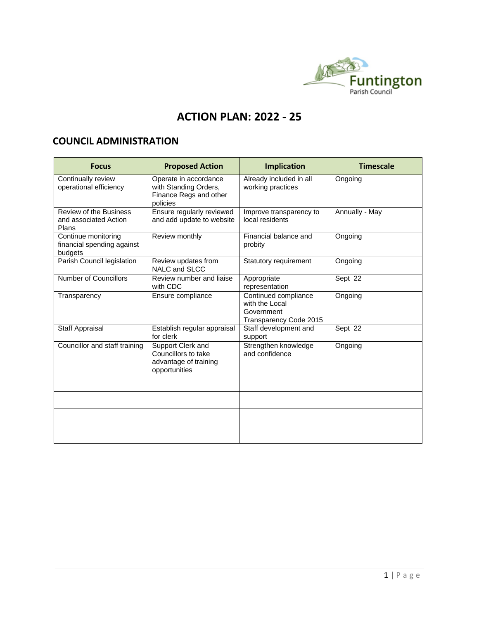

## **ACTION PLAN: 2022 - 25**

## **COUNCIL ADMINISTRATION**

| <b>Focus</b>                                                    | <b>Proposed Action</b>                                                               | <b>Implication</b>                                                             | <b>Timescale</b>     |
|-----------------------------------------------------------------|--------------------------------------------------------------------------------------|--------------------------------------------------------------------------------|----------------------|
| Continually review<br>operational efficiency                    | Operate in accordance<br>with Standing Orders,<br>Finance Regs and other<br>policies | Already included in all<br>working practices                                   | Ongoing              |
| <b>Review of the Business</b><br>and associated Action<br>Plans | Ensure regularly reviewed<br>and add update to website                               | Improve transparency to<br>local residents                                     | Annually - May       |
| Continue monitoring<br>financial spending against<br>budgets    | Review monthly                                                                       | Financial balance and<br>probity                                               | Ongoing              |
| Parish Council legislation                                      | Review updates from<br>NALC and SLCC                                                 | Statutory requirement                                                          | Ongoing              |
| <b>Number of Councillors</b>                                    | Review number and liaise<br>with CDC                                                 | Appropriate<br>representation                                                  | Sept 22              |
| Transparency                                                    | Ensure compliance                                                                    | Continued compliance<br>with the Local<br>Government<br>Transparency Code 2015 | Ongoing              |
| Staff Appraisal                                                 | Establish regular appraisal<br>for clerk                                             | Staff development and<br>support                                               | Sept $2\overline{2}$ |
| Councillor and staff training                                   | Support Clerk and<br>Councillors to take<br>advantage of training<br>opportunities   | Strengthen knowledge<br>and confidence                                         | Ongoing              |
|                                                                 |                                                                                      |                                                                                |                      |
|                                                                 |                                                                                      |                                                                                |                      |
|                                                                 |                                                                                      |                                                                                |                      |
|                                                                 |                                                                                      |                                                                                |                      |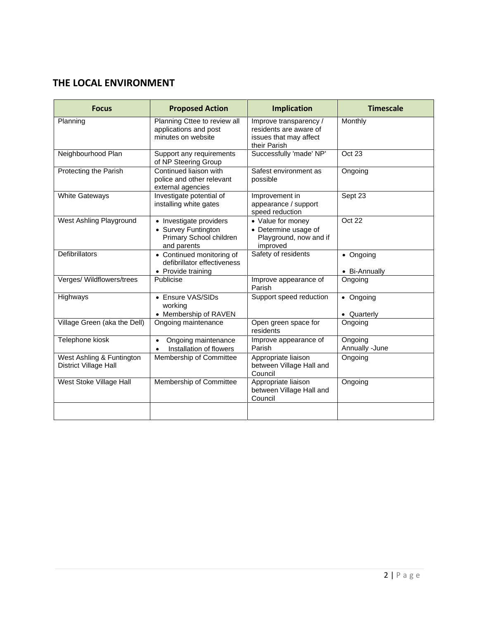## **THE LOCAL ENVIRONMENT**

| <b>Focus</b>                                       | <b>Proposed Action</b>                                                                   | <b>Implication</b>                                                                         | <b>Timescale</b>           |
|----------------------------------------------------|------------------------------------------------------------------------------------------|--------------------------------------------------------------------------------------------|----------------------------|
| Planning                                           | Planning Cttee to review all<br>applications and post<br>minutes on website              | Improve transparency /<br>residents are aware of<br>issues that may affect<br>their Parish | Monthly                    |
| Neighbourhood Plan                                 | Support any requirements<br>of NP Steering Group                                         | Successfully 'made' NP'                                                                    | Oct 23                     |
| Protecting the Parish                              | Continued liaison with<br>police and other relevant<br>external agencies                 | Safest environment as<br>possible                                                          | Ongoing                    |
| <b>White Gateways</b>                              | Investigate potential of<br>installing white gates                                       | Improvement in<br>appearance / support<br>speed reduction                                  | Sept 23                    |
| West Ashling Playground                            | • Investigate providers<br>• Survey Funtington<br>Primary School children<br>and parents | • Value for money<br>• Determine usage of<br>Playground, now and if<br>improved            | Oct 22                     |
| <b>Defibrillators</b>                              | • Continued monitoring of<br>defibrillator effectiveness<br>• Provide training           | Safety of residents                                                                        | • Ongoing<br>• Bi-Annually |
| Verges/ Wildflowers/trees                          | Publicise                                                                                | Improve appearance of<br>Parish                                                            | Ongoing                    |
| Highways                                           | • Ensure VAS/SIDs<br>working<br>• Membership of RAVEN                                    | Support speed reduction                                                                    | • Ongoing<br>• Quarterly   |
| Village Green (aka the Dell)                       | Ongoing maintenance                                                                      | Open green space for<br>residents                                                          | Ongoing                    |
| Telephone kiosk                                    | Ongoing maintenance<br>$\bullet$<br>Installation of flowers<br>$\bullet$                 | Improve appearance of<br>Parish                                                            | Ongoing<br>Annually -June  |
| West Ashling & Funtington<br>District Village Hall | Membership of Committee                                                                  | Appropriate liaison<br>between Village Hall and<br>Council                                 | Ongoing                    |
| West Stoke Village Hall                            | Membership of Committee                                                                  | Appropriate liaison<br>between Village Hall and<br>Council                                 | Ongoing                    |
|                                                    |                                                                                          |                                                                                            |                            |